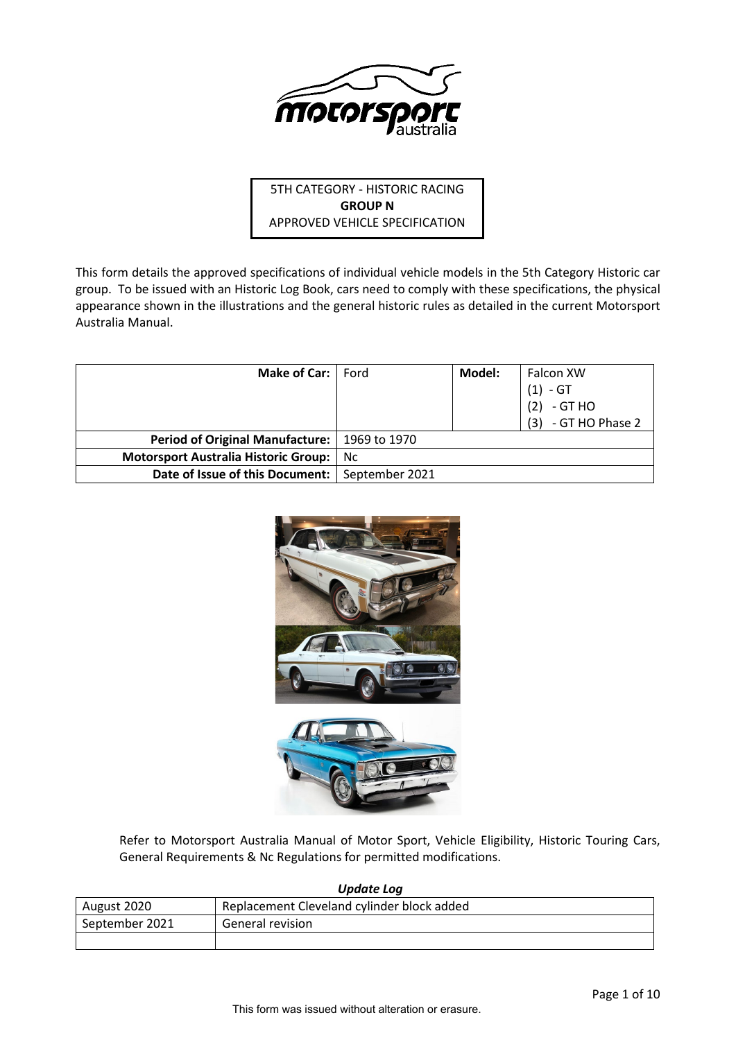

# 5TH CATEGORY - HISTORIC RACING **GROUP N** APPROVED VEHICLE SPECIFICATION

This form details the approved specifications of individual vehicle models in the 5th Category Historic car group. To be issued with an Historic Log Book, cars need to comply with these specifications, the physical appearance shown in the illustrations and the general historic rules as detailed in the current Motorsport Australia Manual.

| Make of Car:                                     | Ford | Model: | <b>Falcon XW</b>      |
|--------------------------------------------------|------|--------|-----------------------|
|                                                  |      |        | - GT<br>(1)           |
|                                                  |      |        | (2)<br>- GT HO        |
|                                                  |      |        | $(3) - GT HO Phase 2$ |
| Period of Original Manufacture:   1969 to 1970   |      |        |                       |
| <b>Motorsport Australia Historic Group:</b>      | Nc.  |        |                       |
| Date of Issue of this Document:   September 2021 |      |        |                       |



Refer to Motorsport Australia Manual of Motor Sport, Vehicle Eligibility, Historic Touring Cars, General Requirements & Nc Regulations for permitted modifications.

*Update Log*

| August 2020    | Replacement Cleveland cylinder block added |
|----------------|--------------------------------------------|
| September 2021 | General revision                           |
|                |                                            |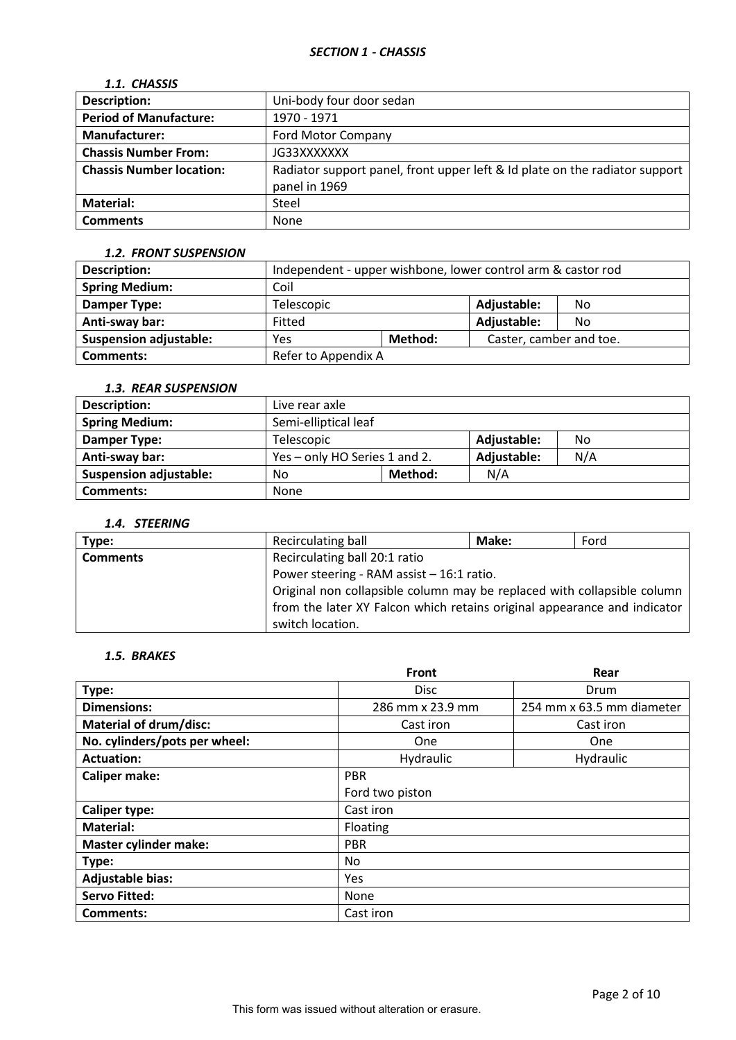# *1.1. CHASSIS*

| <b>Description:</b>             | Uni-body four door sedan                                                    |
|---------------------------------|-----------------------------------------------------------------------------|
| <b>Period of Manufacture:</b>   | 1970 - 1971                                                                 |
| <b>Manufacturer:</b>            | <b>Ford Motor Company</b>                                                   |
| <b>Chassis Number From:</b>     | JG33XXXXXXX                                                                 |
| <b>Chassis Number location:</b> | Radiator support panel, front upper left & Id plate on the radiator support |
|                                 | panel in 1969                                                               |
| <b>Material:</b>                | Steel                                                                       |
| <b>Comments</b>                 | None                                                                        |

### *1.2. FRONT SUSPENSION*

| <b>Description:</b>           | Independent - upper wishbone, lower control arm & castor rod |         |                         |     |  |
|-------------------------------|--------------------------------------------------------------|---------|-------------------------|-----|--|
| <b>Spring Medium:</b>         | Coil                                                         |         |                         |     |  |
| Damper Type:                  | Telescopic                                                   |         | Adjustable:             | No. |  |
| Anti-sway bar:                | Fitted                                                       |         | Adjustable:             | No. |  |
| <b>Suspension adjustable:</b> | Yes                                                          | Method: | Caster, camber and toe. |     |  |
| <b>Comments:</b>              | Refer to Appendix A                                          |         |                         |     |  |

### *1.3. REAR SUSPENSION*

| <b>Description:</b>           | Live rear axle                |         |             |     |  |
|-------------------------------|-------------------------------|---------|-------------|-----|--|
| <b>Spring Medium:</b>         | Semi-elliptical leaf          |         |             |     |  |
| Damper Type:                  | Adjustable:<br>Telescopic     |         |             | No. |  |
| Anti-sway bar:                | Yes - only HO Series 1 and 2. |         | Adjustable: | N/A |  |
| <b>Suspension adjustable:</b> | No                            | Method: | N/A         |     |  |
| Comments:                     | None                          |         |             |     |  |

# *1.4. STEERING*

| Type:           | Recirculating ball                                                       | Make: | Ford |  |  |
|-----------------|--------------------------------------------------------------------------|-------|------|--|--|
| <b>Comments</b> | Recirculating ball 20:1 ratio                                            |       |      |  |  |
|                 | Power steering - RAM assist - 16:1 ratio.                                |       |      |  |  |
|                 | Original non collapsible column may be replaced with collapsible column  |       |      |  |  |
|                 | from the later XY Falcon which retains original appearance and indicator |       |      |  |  |
|                 | switch location.                                                         |       |      |  |  |

# *1.5. BRAKES*

|                               | Front            | Rear                      |
|-------------------------------|------------------|---------------------------|
| Type:                         | <b>Disc</b>      | Drum                      |
| <b>Dimensions:</b>            | 286 mm x 23.9 mm | 254 mm x 63.5 mm diameter |
| <b>Material of drum/disc:</b> | Cast iron        | Cast iron                 |
| No. cylinders/pots per wheel: | One              | <b>One</b>                |
| <b>Actuation:</b>             | Hydraulic        | Hydraulic                 |
| <b>Caliper make:</b>          | <b>PBR</b>       |                           |
|                               | Ford two piston  |                           |
| <b>Caliper type:</b>          | Cast iron        |                           |
| <b>Material:</b>              | Floating         |                           |
| <b>Master cylinder make:</b>  | <b>PBR</b>       |                           |
| Type:                         | No.              |                           |
| <b>Adjustable bias:</b>       | Yes              |                           |
| <b>Servo Fitted:</b>          | None             |                           |
| Comments:                     | Cast iron        |                           |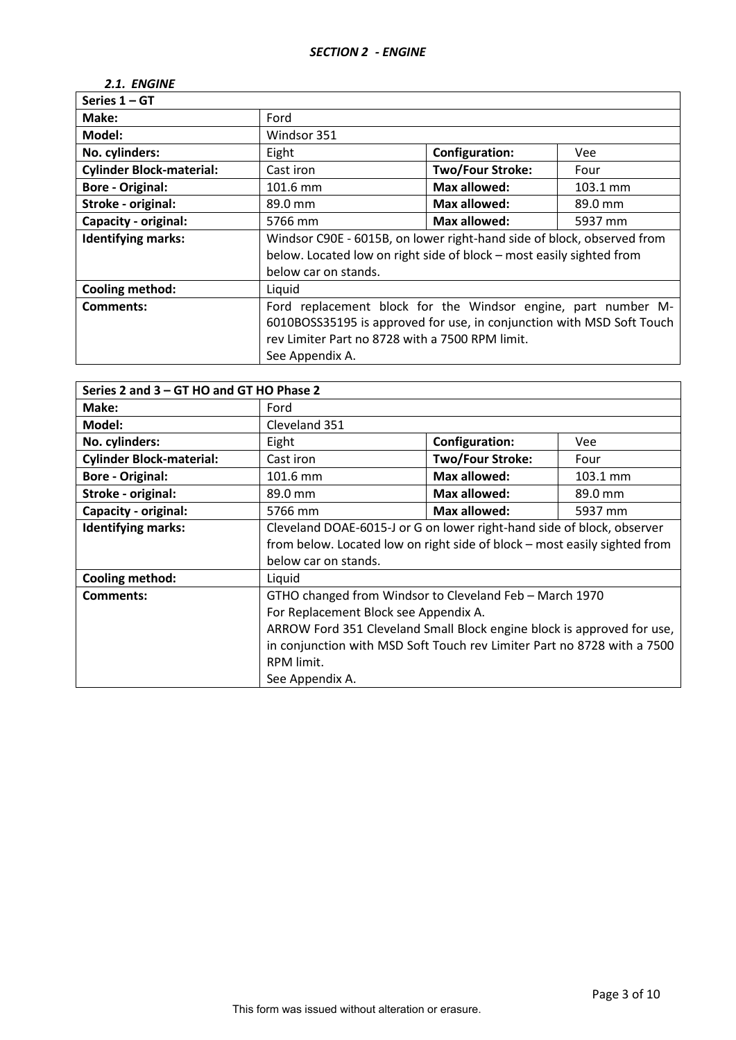# *2.1. ENGINE*

| Series $1 - GT$                 |                                                                        |                                                                                                                                                                                           |            |  |  |
|---------------------------------|------------------------------------------------------------------------|-------------------------------------------------------------------------------------------------------------------------------------------------------------------------------------------|------------|--|--|
| Make:                           | Ford                                                                   |                                                                                                                                                                                           |            |  |  |
| Model:                          | Windsor 351                                                            |                                                                                                                                                                                           |            |  |  |
| No. cylinders:                  | Eight                                                                  | <b>Configuration:</b>                                                                                                                                                                     | <b>Vee</b> |  |  |
| <b>Cylinder Block-material:</b> | Cast iron                                                              | <b>Two/Four Stroke:</b>                                                                                                                                                                   | Four       |  |  |
| <b>Bore - Original:</b>         | 101.6 mm                                                               | Max allowed:                                                                                                                                                                              | 103.1 mm   |  |  |
| Stroke - original:              | 89.0 mm                                                                | Max allowed:                                                                                                                                                                              | 89.0 mm    |  |  |
| <b>Capacity - original:</b>     | <b>Max allowed:</b><br>5766 mm<br>5937 mm                              |                                                                                                                                                                                           |            |  |  |
| <b>Identifying marks:</b>       | Windsor C90E - 6015B, on lower right-hand side of block, observed from |                                                                                                                                                                                           |            |  |  |
|                                 | below. Located low on right side of block - most easily sighted from   |                                                                                                                                                                                           |            |  |  |
|                                 | below car on stands.                                                   |                                                                                                                                                                                           |            |  |  |
| <b>Cooling method:</b>          | Liquid                                                                 |                                                                                                                                                                                           |            |  |  |
| <b>Comments:</b>                | See Appendix A.                                                        | Ford replacement block for the Windsor engine, part number M-<br>6010BOSS35195 is approved for use, in conjunction with MSD Soft Touch<br>rev Limiter Part no 8728 with a 7500 RPM limit. |            |  |  |

| Series 2 and 3 - GT HO and GT HO Phase 2 |                                                                           |                         |          |  |  |
|------------------------------------------|---------------------------------------------------------------------------|-------------------------|----------|--|--|
| Make:                                    | Ford                                                                      |                         |          |  |  |
| Model:                                   | Cleveland 351                                                             |                         |          |  |  |
| No. cylinders:                           | Eight                                                                     | <b>Configuration:</b>   | Vee      |  |  |
| <b>Cylinder Block-material:</b>          | Cast iron                                                                 | <b>Two/Four Stroke:</b> | Four     |  |  |
| <b>Bore - Original:</b>                  | 101.6 mm                                                                  | Max allowed:            | 103.1 mm |  |  |
| Stroke - original:                       | 89.0 mm                                                                   | Max allowed:            | 89.0 mm  |  |  |
| Capacity - original:                     | Max allowed:<br>5766 mm<br>5937 mm                                        |                         |          |  |  |
| <b>Identifying marks:</b>                | Cleveland DOAE-6015-J or G on lower right-hand side of block, observer    |                         |          |  |  |
|                                          | from below. Located low on right side of block – most easily sighted from |                         |          |  |  |
|                                          | below car on stands.                                                      |                         |          |  |  |
| <b>Cooling method:</b>                   | Liquid                                                                    |                         |          |  |  |
| Comments:                                | GTHO changed from Windsor to Cleveland Feb - March 1970                   |                         |          |  |  |
|                                          | For Replacement Block see Appendix A.                                     |                         |          |  |  |
|                                          | ARROW Ford 351 Cleveland Small Block engine block is approved for use,    |                         |          |  |  |
|                                          | in conjunction with MSD Soft Touch rev Limiter Part no 8728 with a 7500   |                         |          |  |  |
|                                          | RPM limit.                                                                |                         |          |  |  |
|                                          | See Appendix A.                                                           |                         |          |  |  |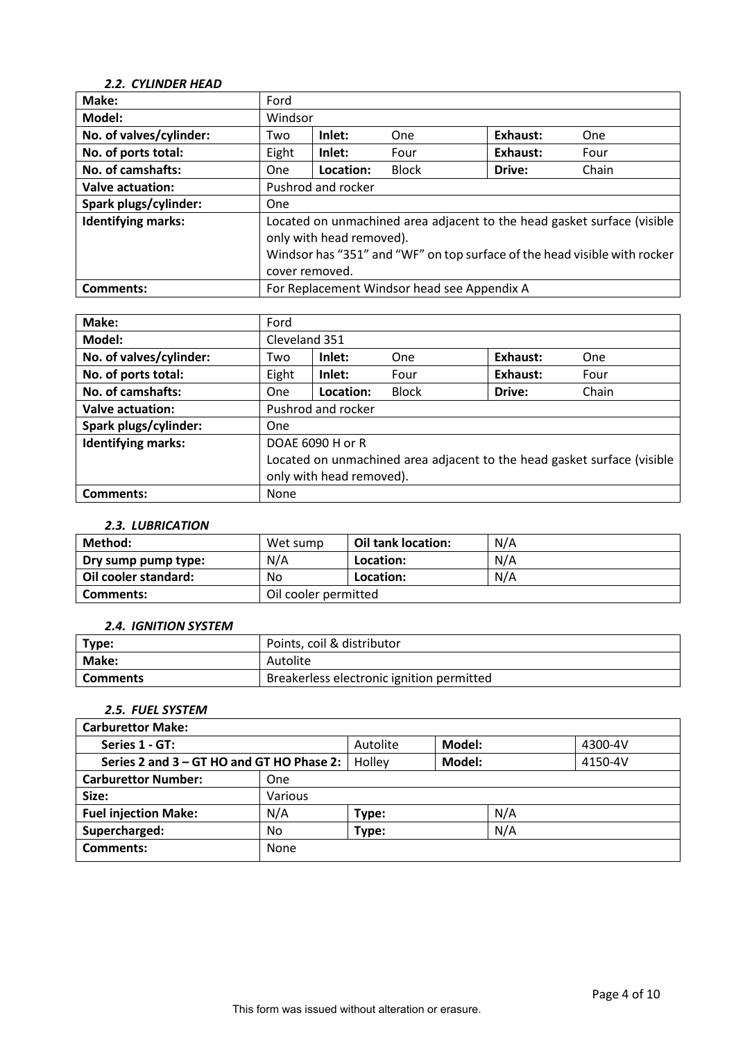# *2.2. CYLINDER HEAD*

| Make:                     | Ford                                                                                                                                                                                               |           |                                             |          |       |
|---------------------------|----------------------------------------------------------------------------------------------------------------------------------------------------------------------------------------------------|-----------|---------------------------------------------|----------|-------|
| Model:                    | Windsor                                                                                                                                                                                            |           |                                             |          |       |
| No. of valves/cylinder:   | Two                                                                                                                                                                                                | Inlet:    | One                                         | Exhaust: | One   |
| No. of ports total:       | Eight                                                                                                                                                                                              | Inlet:    | Four                                        | Exhaust: | Four  |
| No. of camshafts:         | One                                                                                                                                                                                                | Location: | <b>Block</b>                                | Drive:   | Chain |
| Valve actuation:          | Pushrod and rocker                                                                                                                                                                                 |           |                                             |          |       |
| Spark plugs/cylinder:     | One                                                                                                                                                                                                |           |                                             |          |       |
| <b>Identifying marks:</b> | Located on unmachined area adjacent to the head gasket surface (visible<br>only with head removed).<br>Windsor has "351" and "WF" on top surface of the head visible with rocker<br>cover removed. |           |                                             |          |       |
| Comments:                 |                                                                                                                                                                                                    |           | For Replacement Windsor head see Appendix A |          |       |

| Make:                     | Ford                                                                    |           |              |          |       |
|---------------------------|-------------------------------------------------------------------------|-----------|--------------|----------|-------|
| Model:                    | Cleveland 351                                                           |           |              |          |       |
| No. of valves/cylinder:   | Two                                                                     | Inlet:    | One          | Exhaust: | One   |
| No. of ports total:       | Eight                                                                   | Inlet:    | Four         | Exhaust: | Four  |
| No. of camshafts:         | One                                                                     | Location: | <b>Block</b> | Drive:   | Chain |
| <b>Valve actuation:</b>   | Pushrod and rocker                                                      |           |              |          |       |
| Spark plugs/cylinder:     | One                                                                     |           |              |          |       |
| <b>Identifying marks:</b> | DOAE 6090 H or R                                                        |           |              |          |       |
|                           | Located on unmachined area adjacent to the head gasket surface (visible |           |              |          |       |
|                           | only with head removed).                                                |           |              |          |       |
| Comments:                 | None                                                                    |           |              |          |       |

#### *2.3. LUBRICATION*

| Method:              | Wet sump             | <b>Oil tank location:</b> | N/A |  |
|----------------------|----------------------|---------------------------|-----|--|
| Dry sump pump type:  | N/A                  | Location:                 | N/A |  |
| Oil cooler standard: | No                   | Location:                 | N/A |  |
| Comments:            | Oil cooler permitted |                           |     |  |

#### *2.4. IGNITION SYSTEM*

| Type:           | Points, coil & distributor                |
|-----------------|-------------------------------------------|
| Make:           | Autolite                                  |
| <b>Comments</b> | Breakerless electronic ignition permitted |

# *2.5. FUEL SYSTEM*

| <b>Carburettor Make:</b>                  |         |          |               |         |         |
|-------------------------------------------|---------|----------|---------------|---------|---------|
| Series 1 - GT:                            |         | Autolite | <b>Model:</b> |         | 4300-4V |
| Series 2 and 3 - GT HO and GT HO Phase 2: | Holley  | Model:   |               | 4150-4V |         |
| <b>Carburettor Number:</b>                | One     |          |               |         |         |
| Size:                                     | Various |          |               |         |         |
| <b>Fuel injection Make:</b>               | N/A     | Type:    |               | N/A     |         |
| Supercharged:                             | No      | Type:    |               | N/A     |         |
| Comments:                                 | None    |          |               |         |         |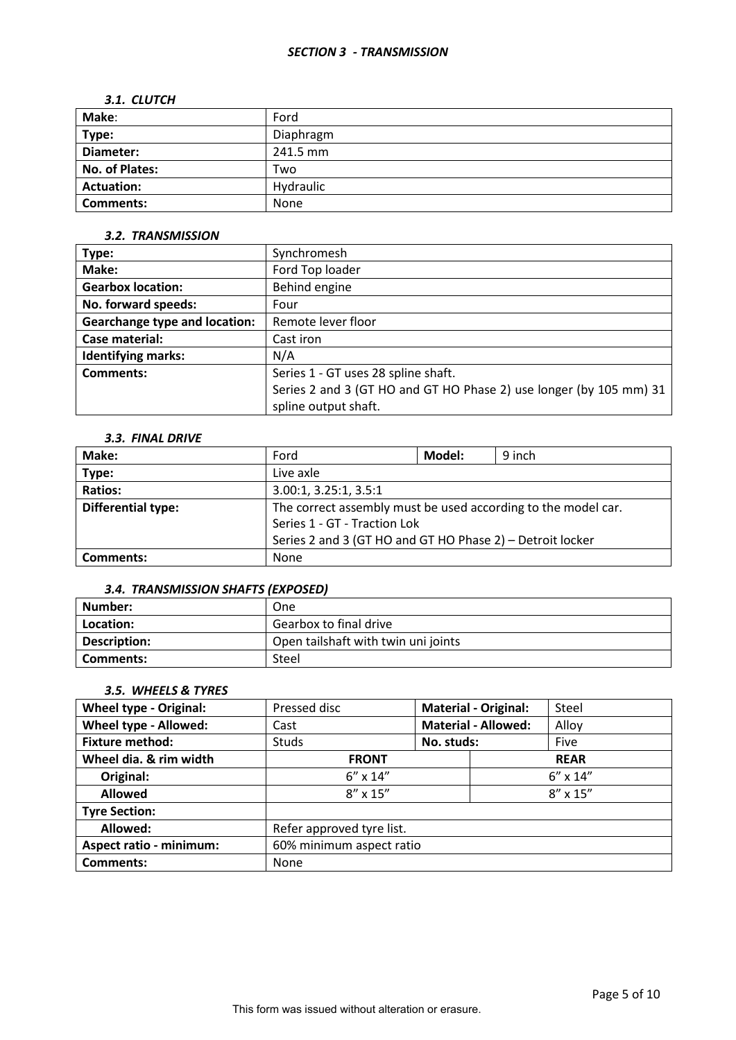#### *SECTION 3 - TRANSMISSION*

#### *3.1. CLUTCH*

| Make:                 | Ford      |
|-----------------------|-----------|
| Type:                 | Diaphragm |
| Diameter:             | 241.5 mm  |
| <b>No. of Plates:</b> | Two       |
| <b>Actuation:</b>     | Hydraulic |
| <b>Comments:</b>      | None      |

### *3.2. TRANSMISSION*

| Type:                                | Synchromesh                                                        |
|--------------------------------------|--------------------------------------------------------------------|
| Make:                                | Ford Top loader                                                    |
| <b>Gearbox location:</b>             | Behind engine                                                      |
| No. forward speeds:                  | Four                                                               |
| <b>Gearchange type and location:</b> | Remote lever floor                                                 |
| Case material:                       | Cast iron                                                          |
| <b>Identifying marks:</b>            | N/A                                                                |
| Comments:                            | Series 1 - GT uses 28 spline shaft.                                |
|                                      | Series 2 and 3 (GT HO and GT HO Phase 2) use longer (by 105 mm) 31 |
|                                      | spline output shaft.                                               |

### *3.3. FINAL DRIVE*

| Make:                     | Ford                                                          | Model: | 9 inch |
|---------------------------|---------------------------------------------------------------|--------|--------|
| Type:                     | Live axle                                                     |        |        |
| <b>Ratios:</b>            | 3.00:1, 3.25:1, 3.5:1                                         |        |        |
| <b>Differential type:</b> | The correct assembly must be used according to the model car. |        |        |
|                           | Series 1 - GT - Traction Lok                                  |        |        |
|                           | Series 2 and 3 (GT HO and GT HO Phase 2) - Detroit locker     |        |        |
| Comments:                 | <b>None</b>                                                   |        |        |

## *3.4. TRANSMISSION SHAFTS (EXPOSED)*

| Number:      | One                                 |
|--------------|-------------------------------------|
| Location:    | Gearbox to final drive              |
| Description: | Open tailshaft with twin uni joints |
| Comments:    | Steel                               |

### *3.5. WHEELS & TYRES*

| <b>Wheel type - Original:</b>  | Pressed disc                           | <b>Material - Original:</b> |             | Steel             |
|--------------------------------|----------------------------------------|-----------------------------|-------------|-------------------|
| Wheel type - Allowed:          | Cast                                   | <b>Material - Allowed:</b>  |             | Alloy             |
| <b>Fixture method:</b>         | <b>Studs</b>                           | No. studs:                  |             | Five              |
| Wheel dia. & rim width         | <b>FRONT</b>                           |                             | <b>REAR</b> |                   |
| Original:                      | $6'' \times 14''$<br>$6'' \times 14''$ |                             |             |                   |
| <b>Allowed</b>                 | $8'' \times 15''$                      |                             |             | $8'' \times 15''$ |
| <b>Tyre Section:</b>           |                                        |                             |             |                   |
| Allowed:                       | Refer approved tyre list.              |                             |             |                   |
| <b>Aspect ratio - minimum:</b> | 60% minimum aspect ratio               |                             |             |                   |
| <b>Comments:</b>               | None                                   |                             |             |                   |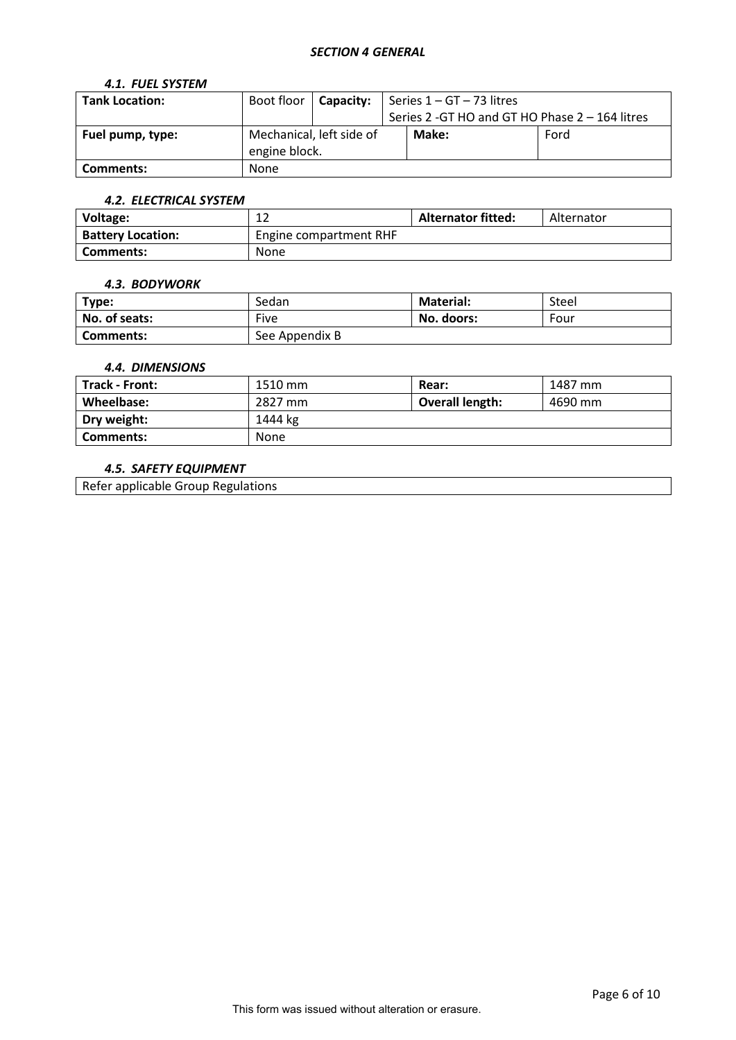### *SECTION 4 GENERAL*

### *4.1. FUEL SYSTEM*

| <b>Tank Location:</b> | Boot floor    | <b>Capacity:</b>         | Series 1 - GT - 73 litres                       |      |  |
|-----------------------|---------------|--------------------------|-------------------------------------------------|------|--|
|                       |               |                          | Series 2 - GT HO and GT HO Phase 2 - 164 litres |      |  |
| Fuel pump, type:      |               | Mechanical, left side of | Make:                                           | Ford |  |
|                       | engine block. |                          |                                                 |      |  |
| Comments:             | None          |                          |                                                 |      |  |

## *4.2. ELECTRICAL SYSTEM*

| Voltage:                 | $\sim$<br>∸∸           | <b>Alternator fitted:</b> | Alternator |
|--------------------------|------------------------|---------------------------|------------|
| <b>Battery Location:</b> | Engine compartment RHF |                           |            |
| Comments:                | None                   |                           |            |

#### *4.3. BODYWORK*

| Type:         | Sedan          | <b>Material:</b> | Steel |
|---------------|----------------|------------------|-------|
| No. of seats: | Five           | No. doors:       | Four  |
| Comments:     | See Appendix B |                  |       |

#### *4.4. DIMENSIONS*

| Track - Front: | 1510 mm | Rear:                  | 1487 mm |
|----------------|---------|------------------------|---------|
| Wheelbase:     | 2827 mm | <b>Overall length:</b> | 4690 mm |
| Dry weight:    | 1444 kg |                        |         |
| Comments:      | None    |                        |         |

## *4.5. SAFETY EQUIPMENT*

Refer applicable Group Regulations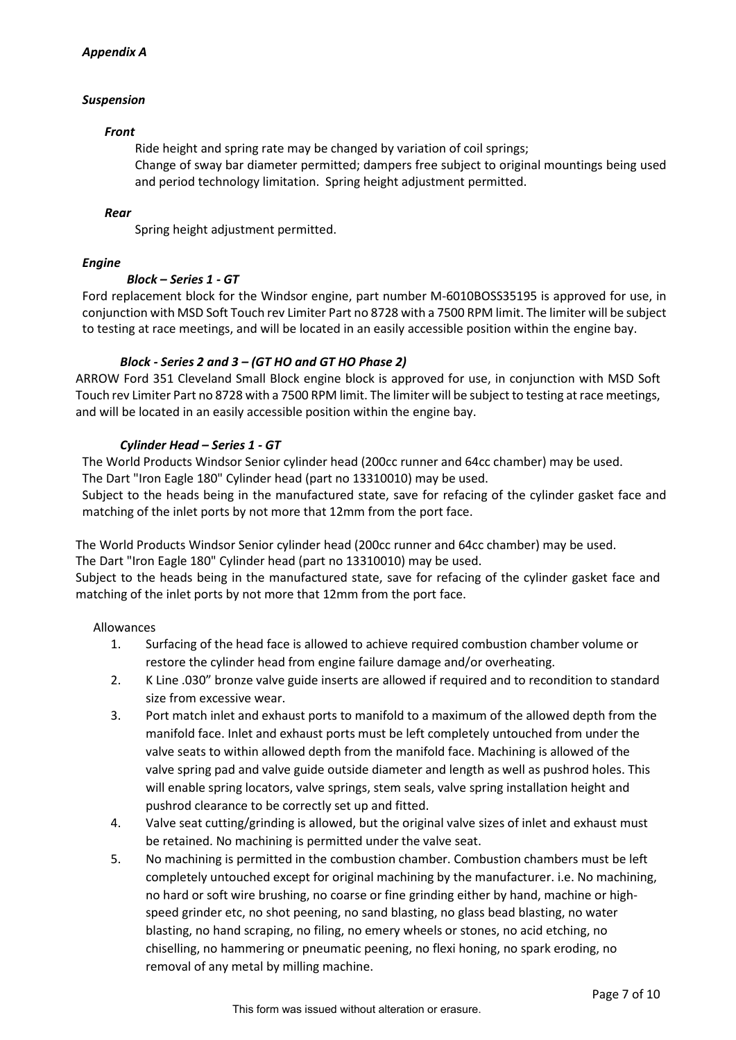## *Appendix A*

## *Suspension*

### *Front*

Ride height and spring rate may be changed by variation of coil springs; Change of sway bar diameter permitted; dampers free subject to original mountings being used and period technology limitation. Spring height adjustment permitted.

## *Rear*

Spring height adjustment permitted.

## *Engine*

# *Block – Series 1 - GT*

Ford replacement block for the Windsor engine, part number M-6010BOSS35195 is approved for use, in conjunction with MSD Soft Touch rev Limiter Part no 8728 with a 7500 RPM limit. The limiter will be subject to testing at race meetings, and will be located in an easily accessible position within the engine bay.

# *Block - Series 2 and 3 – (GT HO and GT HO Phase 2)*

ARROW Ford 351 Cleveland Small Block engine block is approved for use, in conjunction with MSD Soft Touch rev Limiter Part no 8728 with a 7500 RPM limit. The limiter will be subject to testing at race meetings, and will be located in an easily accessible position within the engine bay.

# *Cylinder Head – Series 1 - GT*

The World Products Windsor Senior cylinder head (200cc runner and 64cc chamber) may be used. The Dart "Iron Eagle 180" Cylinder head (part no 13310010) may be used.

Subject to the heads being in the manufactured state, save for refacing of the cylinder gasket face and matching of the inlet ports by not more that 12mm from the port face.

The World Products Windsor Senior cylinder head (200cc runner and 64cc chamber) may be used. The Dart "Iron Eagle 180" Cylinder head (part no 13310010) may be used.

Subject to the heads being in the manufactured state, save for refacing of the cylinder gasket face and matching of the inlet ports by not more that 12mm from the port face.

### Allowances

- 1. Surfacing of the head face is allowed to achieve required combustion chamber volume or restore the cylinder head from engine failure damage and/or overheating.
- 2. K Line .030" bronze valve guide inserts are allowed if required and to recondition to standard size from excessive wear.
- 3. Port match inlet and exhaust ports to manifold to a maximum of the allowed depth from the manifold face. Inlet and exhaust ports must be left completely untouched from under the valve seats to within allowed depth from the manifold face. Machining is allowed of the valve spring pad and valve guide outside diameter and length as well as pushrod holes. This will enable spring locators, valve springs, stem seals, valve spring installation height and pushrod clearance to be correctly set up and fitted.
- 4. Valve seat cutting/grinding is allowed, but the original valve sizes of inlet and exhaust must be retained. No machining is permitted under the valve seat.
- 5. No machining is permitted in the combustion chamber. Combustion chambers must be left completely untouched except for original machining by the manufacturer. i.e. No machining, no hard or soft wire brushing, no coarse or fine grinding either by hand, machine or highspeed grinder etc, no shot peening, no sand blasting, no glass bead blasting, no water blasting, no hand scraping, no filing, no emery wheels or stones, no acid etching, no chiselling, no hammering or pneumatic peening, no flexi honing, no spark eroding, no removal of any metal by milling machine.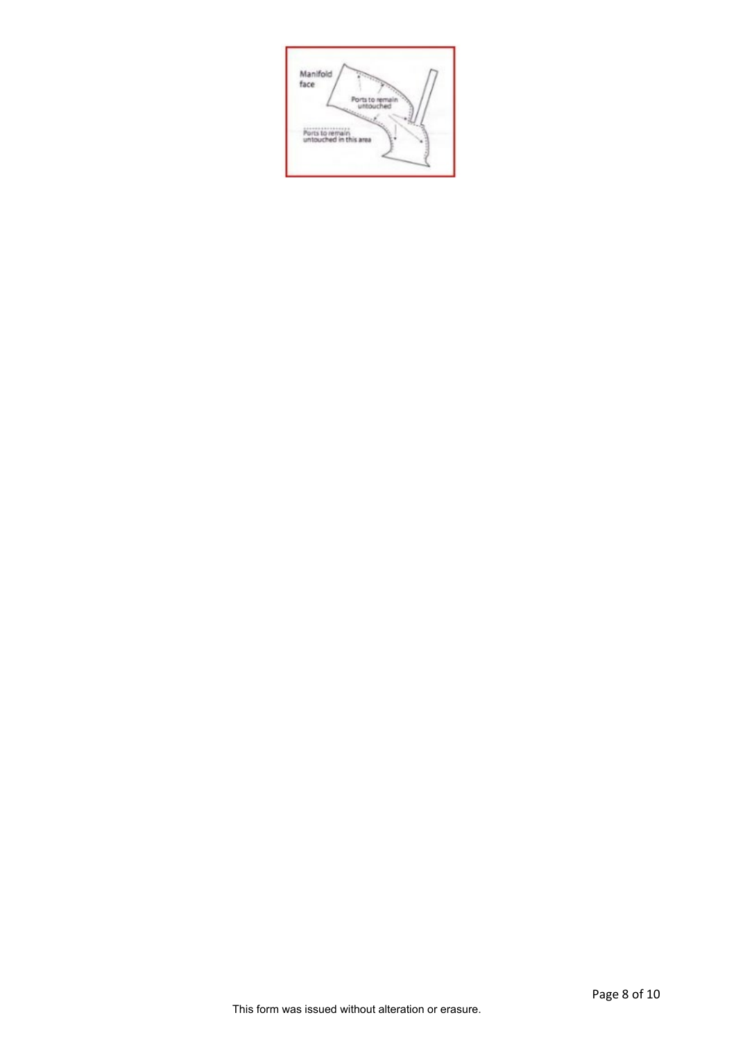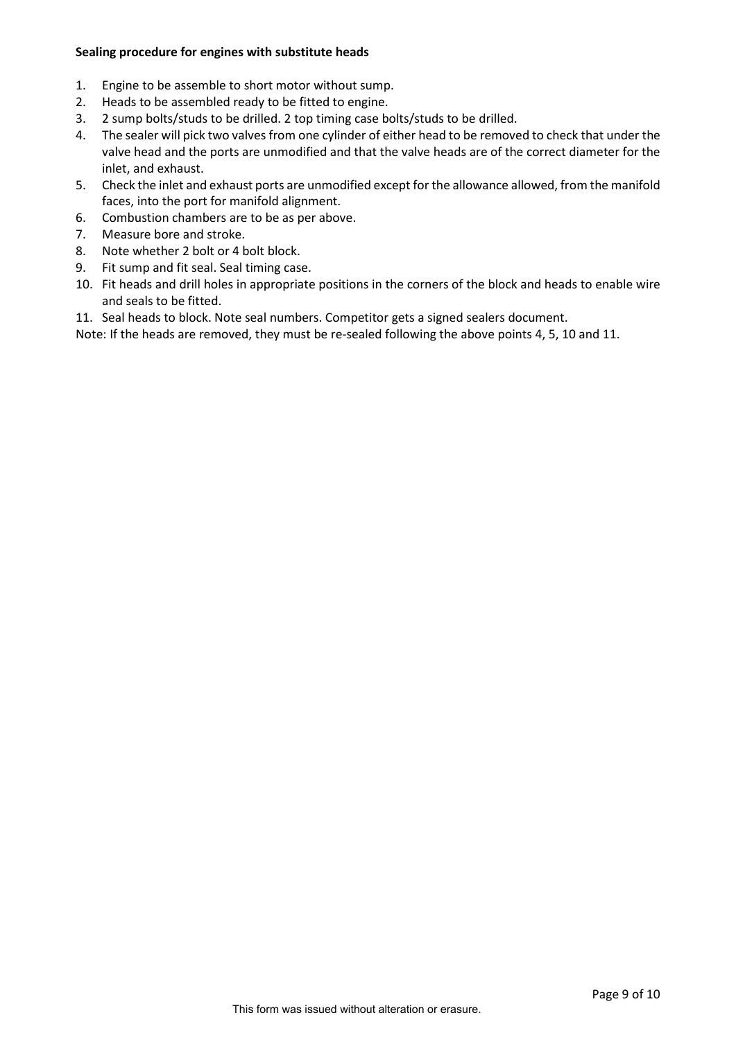### **Sealing procedure for engines with substitute heads**

- 1. Engine to be assemble to short motor without sump.
- 2. Heads to be assembled ready to be fitted to engine.
- 3. 2 sump bolts/studs to be drilled. 2 top timing case bolts/studs to be drilled.
- 4. The sealer will pick two valves from one cylinder of either head to be removed to check that under the valve head and the ports are unmodified and that the valve heads are of the correct diameter for the inlet, and exhaust.
- 5. Check the inlet and exhaust ports are unmodified except for the allowance allowed, from the manifold faces, into the port for manifold alignment.
- 6. Combustion chambers are to be as per above.
- 7. Measure bore and stroke.
- 8. Note whether 2 bolt or 4 bolt block.
- 9. Fit sump and fit seal. Seal timing case.
- 10. Fit heads and drill holes in appropriate positions in the corners of the block and heads to enable wire and seals to be fitted.
- 11. Seal heads to block. Note seal numbers. Competitor gets a signed sealers document.

Note: If the heads are removed, they must be re-sealed following the above points 4, 5, 10 and 11.